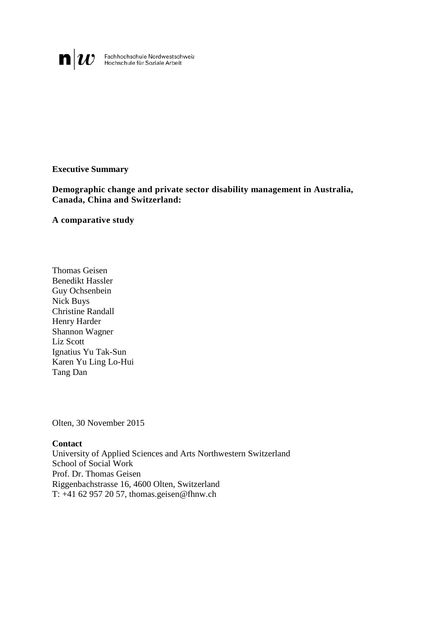**n** U Fachhochschule Nordwestschweiz<br>Hochschule für Soziale Arbeit

### **Executive Summary**

**Demographic change and private sector disability management in Australia, Canada, China and Switzerland:** 

#### **A comparative study**

Thomas Geisen Benedikt Hassler Guy Ochsenbein Nick Buys Christine Randall Henry Harder Shannon Wagner Liz Scott Ignatius Yu Tak-Sun Karen Yu Ling Lo-Hui Tang Dan

Olten, 30 November 2015

#### **Contact**

University of Applied Sciences and Arts Northwestern Switzerland School of Social Work Prof. Dr. Thomas Geisen Riggenbachstrasse 16, 4600 Olten, Switzerland T: +41 62 957 20 57, thomas.geisen@fhnw.ch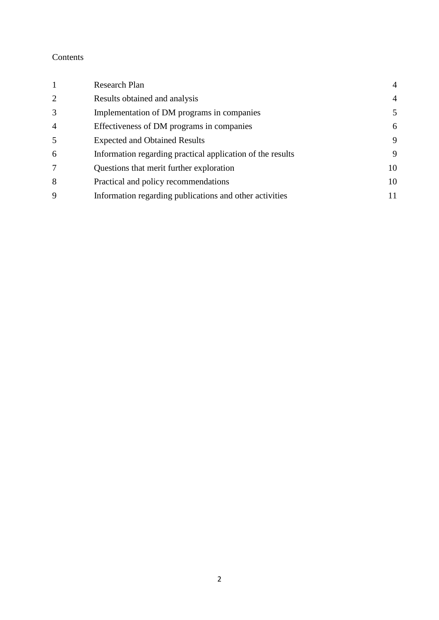# Contents

| $\mathbf{1}$   | <b>Research Plan</b>                                       | $\overline{4}$ |
|----------------|------------------------------------------------------------|----------------|
| 2              | Results obtained and analysis                              | $\overline{4}$ |
| 3              | Implementation of DM programs in companies                 | 5              |
| $\overline{4}$ | Effectiveness of DM programs in companies                  | 6              |
| 5              | <b>Expected and Obtained Results</b>                       | 9              |
| 6              | Information regarding practical application of the results | 9              |
| 7              | Questions that merit further exploration                   | 10             |
| 8              | Practical and policy recommendations                       | 10             |
| 9              | Information regarding publications and other activities    | 11             |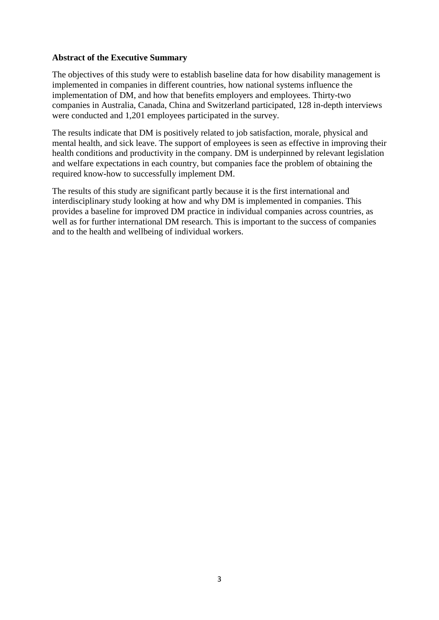### **Abstract of the Executive Summary**

The objectives of this study were to establish baseline data for how disability management is implemented in companies in different countries, how national systems influence the implementation of DM, and how that benefits employers and employees. Thirty-two companies in Australia, Canada, China and Switzerland participated, 128 in-depth interviews were conducted and 1,201 employees participated in the survey.

The results indicate that DM is positively related to job satisfaction, morale, physical and mental health, and sick leave. The support of employees is seen as effective in improving their health conditions and productivity in the company. DM is underpinned by relevant legislation and welfare expectations in each country, but companies face the problem of obtaining the required know-how to successfully implement DM.

The results of this study are significant partly because it is the first international and interdisciplinary study looking at how and why DM is implemented in companies. This provides a baseline for improved DM practice in individual companies across countries, as well as for further international DM research. This is important to the success of companies and to the health and wellbeing of individual workers.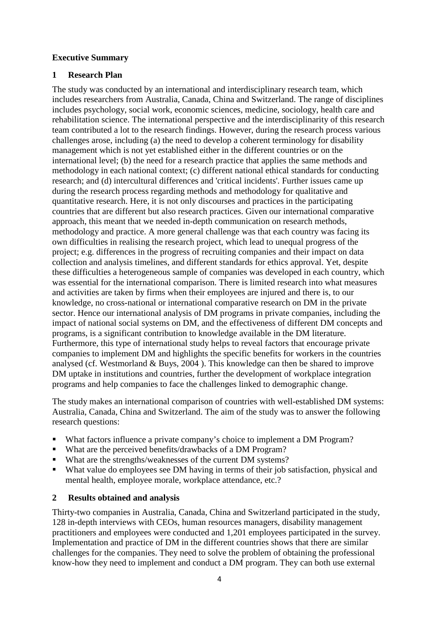### **Executive Summary**

## <span id="page-3-0"></span>**1 Research Plan**

The study was conducted by an international and interdisciplinary research team, which includes researchers from Australia, Canada, China and Switzerland. The range of disciplines includes psychology, social work, economic sciences, medicine, sociology, health care and rehabilitation science. The international perspective and the interdisciplinarity of this research team contributed a lot to the research findings. However, during the research process various challenges arose, including (a) the need to develop a coherent terminology for disability management which is not yet established either in the different countries or on the international level; (b) the need for a research practice that applies the same methods and methodology in each national context; (c) different national ethical standards for conducting research; and (d) intercultural differences and 'critical incidents'. Further issues came up during the research process regarding methods and methodology for qualitative and quantitative research. Here, it is not only discourses and practices in the participating countries that are different but also research practices. Given our international comparative approach, this meant that we needed in-depth communication on research methods, methodology and practice. A more general challenge was that each country was facing its own difficulties in realising the research project, which lead to unequal progress of the project; e.g. differences in the progress of recruiting companies and their impact on data collection and analysis timelines, and different standards for ethics approval. Yet, despite these difficulties a heterogeneous sample of companies was developed in each country, which was essential for the international comparison. There is limited research into what measures and activities are taken by firms when their employees are injured and there is, to our knowledge, no cross-national or international comparative research on DM in the private sector. Hence our international analysis of DM programs in private companies, including the impact of national social systems on DM, and the effectiveness of different DM concepts and programs, is a significant contribution to knowledge available in the DM literature. Furthermore, this type of international study helps to reveal factors that encourage private companies to implement DM and highlights the specific benefits for workers in the countries analysed (cf. Westmorland & Buys, 2004 ). This knowledge can then be shared to improve DM uptake in institutions and countries, further the development of workplace integration programs and help companies to face the challenges linked to demographic change.

The study makes an international comparison of countries with well-established DM systems: Australia, Canada, China and Switzerland. The aim of the study was to answer the following research questions:

- What factors influence a private company's choice to implement a DM Program?
- What are the perceived benefits/drawbacks of a DM Program?
- What are the strengths/weaknesses of the current DM systems?
- What value do employees see DM having in terms of their job satisfaction, physical and mental health, employee morale, workplace attendance, etc.?

## <span id="page-3-1"></span>**2 Results obtained and analysis**

Thirty-two companies in Australia, Canada, China and Switzerland participated in the study, 128 in-depth interviews with CEOs, human resources managers, disability management practitioners and employees were conducted and 1,201 employees participated in the survey. Implementation and practice of DM in the different countries shows that there are similar challenges for the companies. They need to solve the problem of obtaining the professional know-how they need to implement and conduct a DM program. They can both use external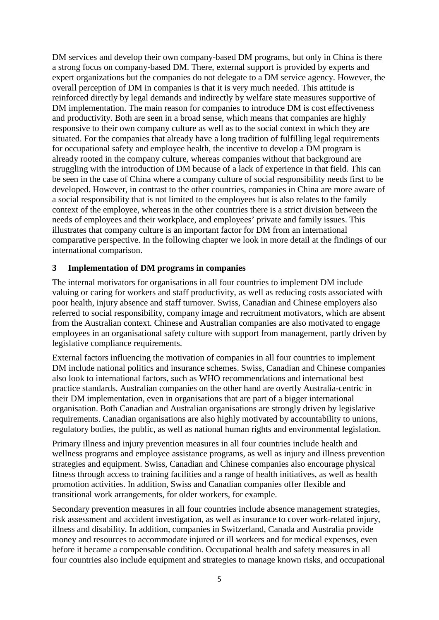DM services and develop their own company-based DM programs, but only in China is there a strong focus on company-based DM. There, external support is provided by experts and expert organizations but the companies do not delegate to a DM service agency. However, the overall perception of DM in companies is that it is very much needed. This attitude is reinforced directly by legal demands and indirectly by welfare state measures supportive of DM implementation. The main reason for companies to introduce DM is cost effectiveness and productivity. Both are seen in a broad sense, which means that companies are highly responsive to their own company culture as well as to the social context in which they are situated. For the companies that already have a long tradition of fulfilling legal requirements for occupational safety and employee health, the incentive to develop a DM program is already rooted in the company culture, whereas companies without that background are struggling with the introduction of DM because of a lack of experience in that field. This can be seen in the case of China where a company culture of social responsibility needs first to be developed. However, in contrast to the other countries, companies in China are more aware of a social responsibility that is not limited to the employees but is also relates to the family context of the employee, whereas in the other countries there is a strict division between the needs of employees and their workplace, and employees' private and family issues. This illustrates that company culture is an important factor for DM from an international comparative perspective. In the following chapter we look in more detail at the findings of our international comparison.

### <span id="page-4-0"></span>**3 Implementation of DM programs in companies**

The internal motivators for organisations in all four countries to implement DM include valuing or caring for workers and staff productivity, as well as reducing costs associated with poor health, injury absence and staff turnover. Swiss, Canadian and Chinese employers also referred to social responsibility, company image and recruitment motivators, which are absent from the Australian context. Chinese and Australian companies are also motivated to engage employees in an organisational safety culture with support from management, partly driven by legislative compliance requirements.

External factors influencing the motivation of companies in all four countries to implement DM include national politics and insurance schemes. Swiss, Canadian and Chinese companies also look to international factors, such as WHO recommendations and international best practice standards. Australian companies on the other hand are overtly Australia-centric in their DM implementation, even in organisations that are part of a bigger international organisation. Both Canadian and Australian organisations are strongly driven by legislative requirements. Canadian organisations are also highly motivated by accountability to unions, regulatory bodies, the public, as well as national human rights and environmental legislation.

Primary illness and injury prevention measures in all four countries include health and wellness programs and employee assistance programs, as well as injury and illness prevention strategies and equipment. Swiss, Canadian and Chinese companies also encourage physical fitness through access to training facilities and a range of health initiatives, as well as health promotion activities. In addition, Swiss and Canadian companies offer flexible and transitional work arrangements, for older workers, for example.

Secondary prevention measures in all four countries include absence management strategies, risk assessment and accident investigation, as well as insurance to cover work-related injury, illness and disability. In addition, companies in Switzerland, Canada and Australia provide money and resources to accommodate injured or ill workers and for medical expenses, even before it became a compensable condition. Occupational health and safety measures in all four countries also include equipment and strategies to manage known risks, and occupational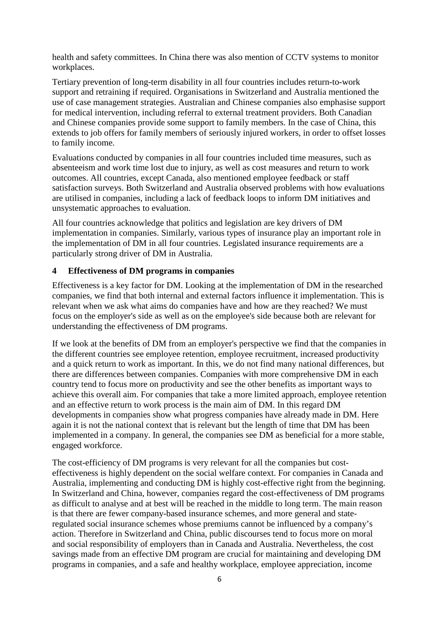health and safety committees. In China there was also mention of CCTV systems to monitor workplaces.

Tertiary prevention of long-term disability in all four countries includes return-to-work support and retraining if required. Organisations in Switzerland and Australia mentioned the use of case management strategies. Australian and Chinese companies also emphasise support for medical intervention, including referral to external treatment providers. Both Canadian and Chinese companies provide some support to family members. In the case of China, this extends to job offers for family members of seriously injured workers, in order to offset losses to family income.

Evaluations conducted by companies in all four countries included time measures, such as absenteeism and work time lost due to injury, as well as cost measures and return to work outcomes. All countries, except Canada, also mentioned employee feedback or staff satisfaction surveys. Both Switzerland and Australia observed problems with how evaluations are utilised in companies, including a lack of feedback loops to inform DM initiatives and unsystematic approaches to evaluation.

All four countries acknowledge that politics and legislation are key drivers of DM implementation in companies. Similarly, various types of insurance play an important role in the implementation of DM in all four countries. Legislated insurance requirements are a particularly strong driver of DM in Australia.

## <span id="page-5-0"></span>**4 Effectiveness of DM programs in companies**

Effectiveness is a key factor for DM. Looking at the implementation of DM in the researched companies, we find that both internal and external factors influence it implementation. This is relevant when we ask what aims do companies have and how are they reached? We must focus on the employer's side as well as on the employee's side because both are relevant for understanding the effectiveness of DM programs.

If we look at the benefits of DM from an employer's perspective we find that the companies in the different countries see employee retention, employee recruitment, increased productivity and a quick return to work as important. In this, we do not find many national differences, but there are differences between companies. Companies with more comprehensive DM in each country tend to focus more on productivity and see the other benefits as important ways to achieve this overall aim. For companies that take a more limited approach, employee retention and an effective return to work process is the main aim of DM. In this regard DM developments in companies show what progress companies have already made in DM. Here again it is not the national context that is relevant but the length of time that DM has been implemented in a company. In general, the companies see DM as beneficial for a more stable, engaged workforce.

The cost-efficiency of DM programs is very relevant for all the companies but costeffectiveness is highly dependent on the social welfare context. For companies in Canada and Australia, implementing and conducting DM is highly cost-effective right from the beginning. In Switzerland and China, however, companies regard the cost-effectiveness of DM programs as difficult to analyse and at best will be reached in the middle to long term. The main reason is that there are fewer company-based insurance schemes, and more general and stateregulated social insurance schemes whose premiums cannot be influenced by a company's action. Therefore in Switzerland and China, public discourses tend to focus more on moral and social responsibility of employers than in Canada and Australia. Nevertheless, the cost savings made from an effective DM program are crucial for maintaining and developing DM programs in companies, and a safe and healthy workplace, employee appreciation, income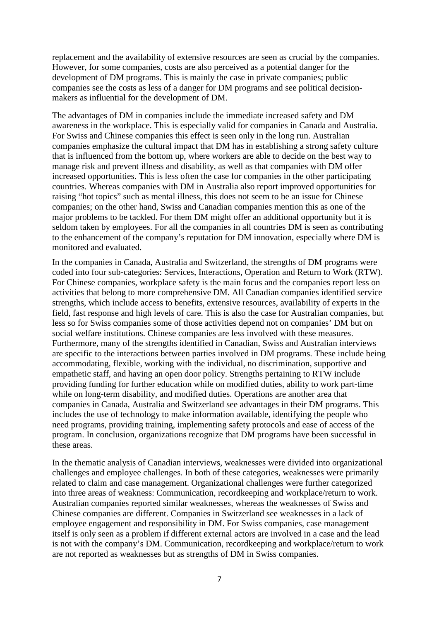replacement and the availability of extensive resources are seen as crucial by the companies. However, for some companies, costs are also perceived as a potential danger for the development of DM programs. This is mainly the case in private companies; public companies see the costs as less of a danger for DM programs and see political decisionmakers as influential for the development of DM.

The advantages of DM in companies include the immediate increased safety and DM awareness in the workplace. This is especially valid for companies in Canada and Australia. For Swiss and Chinese companies this effect is seen only in the long run. Australian companies emphasize the cultural impact that DM has in establishing a strong safety culture that is influenced from the bottom up, where workers are able to decide on the best way to manage risk and prevent illness and disability, as well as that companies with DM offer increased opportunities. This is less often the case for companies in the other participating countries. Whereas companies with DM in Australia also report improved opportunities for raising "hot topics" such as mental illness, this does not seem to be an issue for Chinese companies; on the other hand, Swiss and Canadian companies mention this as one of the major problems to be tackled. For them DM might offer an additional opportunity but it is seldom taken by employees. For all the companies in all countries DM is seen as contributing to the enhancement of the company's reputation for DM innovation, especially where DM is monitored and evaluated.

In the companies in Canada, Australia and Switzerland, the strengths of DM programs were coded into four sub-categories: Services, Interactions, Operation and Return to Work (RTW). For Chinese companies, workplace safety is the main focus and the companies report less on activities that belong to more comprehensive DM. All Canadian companies identified service strengths, which include access to benefits, extensive resources, availability of experts in the field, fast response and high levels of care. This is also the case for Australian companies, but less so for Swiss companies some of those activities depend not on companies' DM but on social welfare institutions. Chinese companies are less involved with these measures. Furthermore, many of the strengths identified in Canadian, Swiss and Australian interviews are specific to the interactions between parties involved in DM programs. These include being accommodating, flexible, working with the individual, no discrimination, supportive and empathetic staff, and having an open door policy. Strengths pertaining to RTW include providing funding for further education while on modified duties, ability to work part-time while on long-term disability, and modified duties. Operations are another area that companies in Canada, Australia and Switzerland see advantages in their DM programs. This includes the use of technology to make information available, identifying the people who need programs, providing training, implementing safety protocols and ease of access of the program. In conclusion, organizations recognize that DM programs have been successful in these areas.

In the thematic analysis of Canadian interviews, weaknesses were divided into organizational challenges and employee challenges. In both of these categories, weaknesses were primarily related to claim and case management. Organizational challenges were further categorized into three areas of weakness: Communication, recordkeeping and workplace/return to work. Australian companies reported similar weaknesses, whereas the weaknesses of Swiss and Chinese companies are different. Companies in Switzerland see weaknesses in a lack of employee engagement and responsibility in DM. For Swiss companies, case management itself is only seen as a problem if different external actors are involved in a case and the lead is not with the company's DM. Communication, recordkeeping and workplace/return to work are not reported as weaknesses but as strengths of DM in Swiss companies.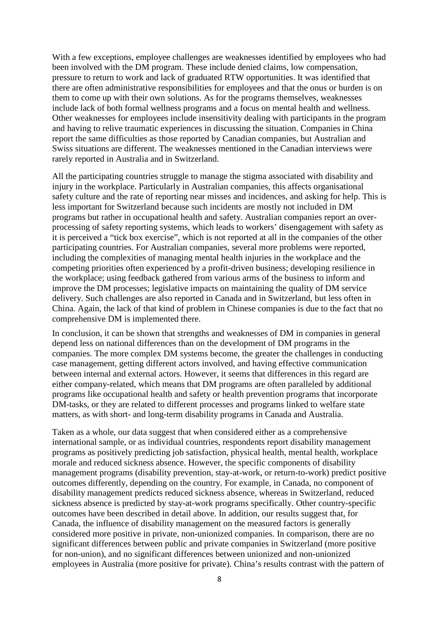With a few exceptions, employee challenges are weaknesses identified by employees who had been involved with the DM program. These include denied claims, low compensation, pressure to return to work and lack of graduated RTW opportunities. It was identified that there are often administrative responsibilities for employees and that the onus or burden is on them to come up with their own solutions. As for the programs themselves, weaknesses include lack of both formal wellness programs and a focus on mental health and wellness. Other weaknesses for employees include insensitivity dealing with participants in the program and having to relive traumatic experiences in discussing the situation. Companies in China report the same difficulties as those reported by Canadian companies, but Australian and Swiss situations are different. The weaknesses mentioned in the Canadian interviews were rarely reported in Australia and in Switzerland.

All the participating countries struggle to manage the stigma associated with disability and injury in the workplace. Particularly in Australian companies, this affects organisational safety culture and the rate of reporting near misses and incidences, and asking for help. This is less important for Switzerland because such incidents are mostly not included in DM programs but rather in occupational health and safety. Australian companies report an overprocessing of safety reporting systems, which leads to workers' disengagement with safety as it is perceived a "tick box exercise", which is not reported at all in the companies of the other participating countries. For Australian companies, several more problems were reported, including the complexities of managing mental health injuries in the workplace and the competing priorities often experienced by a profit-driven business; developing resilience in the workplace; using feedback gathered from various arms of the business to inform and improve the DM processes; legislative impacts on maintaining the quality of DM service delivery. Such challenges are also reported in Canada and in Switzerland, but less often in China. Again, the lack of that kind of problem in Chinese companies is due to the fact that no comprehensive DM is implemented there.

In conclusion, it can be shown that strengths and weaknesses of DM in companies in general depend less on national differences than on the development of DM programs in the companies. The more complex DM systems become, the greater the challenges in conducting case management, getting different actors involved, and having effective communication between internal and external actors. However, it seems that differences in this regard are either company-related, which means that DM programs are often paralleled by additional programs like occupational health and safety or health prevention programs that incorporate DM-tasks, or they are related to different processes and programs linked to welfare state matters, as with short- and long-term disability programs in Canada and Australia.

Taken as a whole, our data suggest that when considered either as a comprehensive international sample, or as individual countries, respondents report disability management programs as positively predicting job satisfaction, physical health, mental health, workplace morale and reduced sickness absence. However, the specific components of disability management programs (disability prevention, stay-at-work, or return-to-work) predict positive outcomes differently, depending on the country. For example, in Canada, no component of disability management predicts reduced sickness absence, whereas in Switzerland, reduced sickness absence is predicted by stay-at-work programs specifically. Other country-specific outcomes have been described in detail above. In addition, our results suggest that, for Canada, the influence of disability management on the measured factors is generally considered more positive in private, non-unionized companies. In comparison, there are no significant differences between public and private companies in Switzerland (more positive for non-union), and no significant differences between unionized and non-unionized employees in Australia (more positive for private). China's results contrast with the pattern of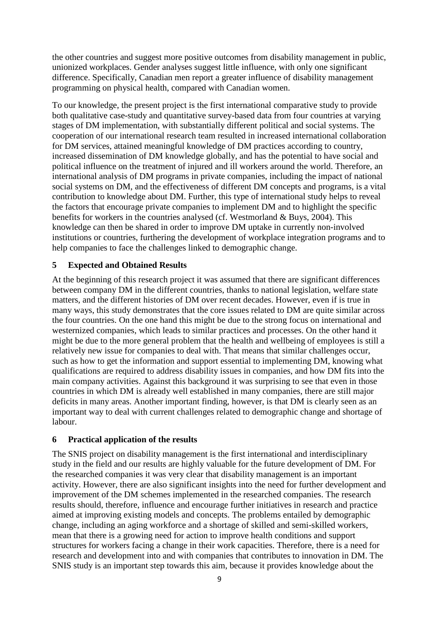the other countries and suggest more positive outcomes from disability management in public, unionized workplaces. Gender analyses suggest little influence, with only one significant difference. Specifically, Canadian men report a greater influence of disability management programming on physical health, compared with Canadian women.

To our knowledge, the present project is the first international comparative study to provide both qualitative case-study and quantitative survey-based data from four countries at varying stages of DM implementation, with substantially different political and social systems. The cooperation of our international research team resulted in increased international collaboration for DM services, attained meaningful knowledge of DM practices according to country, increased dissemination of DM knowledge globally, and has the potential to have social and political influence on the treatment of injured and ill workers around the world. Therefore, an international analysis of DM programs in private companies, including the impact of national social systems on DM, and the effectiveness of different DM concepts and programs, is a vital contribution to knowledge about DM. Further, this type of international study helps to reveal the factors that encourage private companies to implement DM and to highlight the specific benefits for workers in the countries analysed (cf. Westmorland & Buys, 2004). This knowledge can then be shared in order to improve DM uptake in currently non-involved institutions or countries, furthering the development of workplace integration programs and to help companies to face the challenges linked to demographic change.

## <span id="page-8-0"></span>**5 Expected and Obtained Results**

At the beginning of this research project it was assumed that there are significant differences between company DM in the different countries, thanks to national legislation, welfare state matters, and the different histories of DM over recent decades. However, even if is true in many ways, this study demonstrates that the core issues related to DM are quite similar across the four countries. On the one hand this might be due to the strong focus on international and westernized companies, which leads to similar practices and processes. On the other hand it might be due to the more general problem that the health and wellbeing of employees is still a relatively new issue for companies to deal with. That means that similar challenges occur, such as how to get the information and support essential to implementing DM, knowing what qualifications are required to address disability issues in companies, and how DM fits into the main company activities. Against this background it was surprising to see that even in those countries in which DM is already well established in many companies, there are still major deficits in many areas. Another important finding, however, is that DM is clearly seen as an important way to deal with current challenges related to demographic change and shortage of labour.

## <span id="page-8-1"></span>**6 Practical application of the results**

The SNIS project on disability management is the first international and interdisciplinary study in the field and our results are highly valuable for the future development of DM. For the researched companies it was very clear that disability management is an important activity. However, there are also significant insights into the need for further development and improvement of the DM schemes implemented in the researched companies. The research results should, therefore, influence and encourage further initiatives in research and practice aimed at improving existing models and concepts. The problems entailed by demographic change, including an aging workforce and a shortage of skilled and semi-skilled workers, mean that there is a growing need for action to improve health conditions and support structures for workers facing a change in their work capacities. Therefore, there is a need for research and development into and with companies that contributes to innovation in DM. The SNIS study is an important step towards this aim, because it provides knowledge about the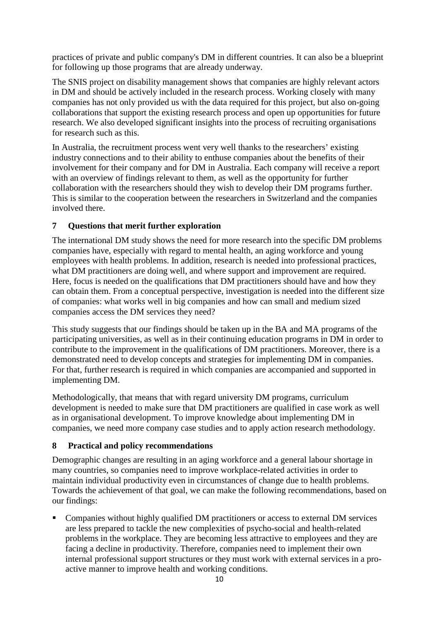practices of private and public company's DM in different countries. It can also be a blueprint for following up those programs that are already underway.

The SNIS project on disability management shows that companies are highly relevant actors in DM and should be actively included in the research process. Working closely with many companies has not only provided us with the data required for this project, but also on-going collaborations that support the existing research process and open up opportunities for future research. We also developed significant insights into the process of recruiting organisations for research such as this.

In Australia, the recruitment process went very well thanks to the researchers' existing industry connections and to their ability to enthuse companies about the benefits of their involvement for their company and for DM in Australia. Each company will receive a report with an overview of findings relevant to them, as well as the opportunity for further collaboration with the researchers should they wish to develop their DM programs further. This is similar to the cooperation between the researchers in Switzerland and the companies involved there.

# <span id="page-9-0"></span>**7 Questions that merit further exploration**

The international DM study shows the need for more research into the specific DM problems companies have, especially with regard to mental health, an aging workforce and young employees with health problems. In addition, research is needed into professional practices, what DM practitioners are doing well, and where support and improvement are required. Here, focus is needed on the qualifications that DM practitioners should have and how they can obtain them. From a conceptual perspective, investigation is needed into the different size of companies: what works well in big companies and how can small and medium sized companies access the DM services they need?

This study suggests that our findings should be taken up in the BA and MA programs of the participating universities, as well as in their continuing education programs in DM in order to contribute to the improvement in the qualifications of DM practitioners. Moreover, there is a demonstrated need to develop concepts and strategies for implementing DM in companies. For that, further research is required in which companies are accompanied and supported in implementing DM.

Methodologically, that means that with regard university DM programs, curriculum development is needed to make sure that DM practitioners are qualified in case work as well as in organisational development. To improve knowledge about implementing DM in companies, we need more company case studies and to apply action research methodology.

## <span id="page-9-1"></span>**8 Practical and policy recommendations**

Demographic changes are resulting in an aging workforce and a general labour shortage in many countries, so companies need to improve workplace-related activities in order to maintain individual productivity even in circumstances of change due to health problems. Towards the achievement of that goal, we can make the following recommendations, based on our findings:

 Companies without highly qualified DM practitioners or access to external DM services are less prepared to tackle the new complexities of psycho-social and health-related problems in the workplace. They are becoming less attractive to employees and they are facing a decline in productivity. Therefore, companies need to implement their own internal professional support structures or they must work with external services in a proactive manner to improve health and working conditions.